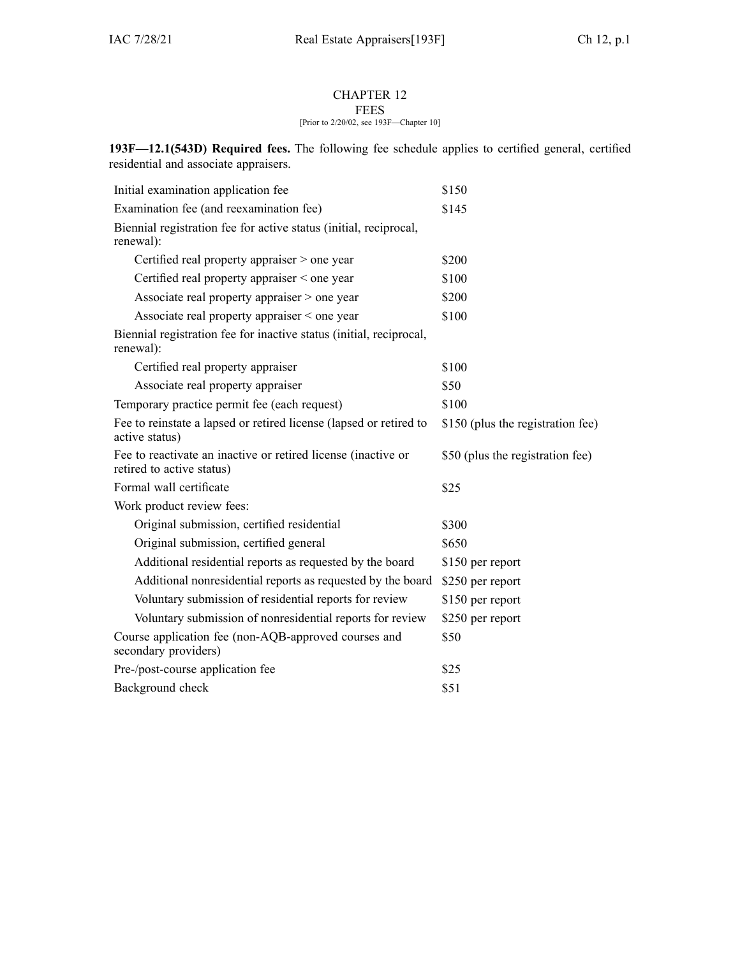## CHAPTER 12

## FEES [Prior to 2/20/02, see 193F—Chapter 10]

**193F—12.1(543D) Required fees.** The following fee schedule applies to certified general, certified residential and associate appraisers.

| Initial examination application fee                                                        | \$150                             |
|--------------------------------------------------------------------------------------------|-----------------------------------|
| Examination fee (and reexamination fee)                                                    | \$145                             |
| Biennial registration fee for active status (initial, reciprocal,<br>renewal):             |                                   |
| Certified real property appraiser > one year                                               | \$200                             |
| Certified real property appraiser < one year                                               | \$100                             |
| Associate real property appraiser > one year                                               | \$200                             |
| Associate real property appraiser $\le$ one year                                           | \$100                             |
| Biennial registration fee for inactive status (initial, reciprocal,<br>renewal):           |                                   |
| Certified real property appraiser                                                          | \$100                             |
| Associate real property appraiser                                                          | \$50                              |
| Temporary practice permit fee (each request)                                               | \$100                             |
| Fee to reinstate a lapsed or retired license (lapsed or retired to<br>active status)       | \$150 (plus the registration fee) |
| Fee to reactivate an inactive or retired license (inactive or<br>retired to active status) | \$50 (plus the registration fee)  |
| Formal wall certificate                                                                    | \$25                              |
| Work product review fees:                                                                  |                                   |
| Original submission, certified residential                                                 | \$300                             |
| Original submission, certified general                                                     | \$650                             |
| Additional residential reports as requested by the board                                   | \$150 per report                  |
| Additional nonresidential reports as requested by the board                                | \$250 per report                  |
| Voluntary submission of residential reports for review                                     | \$150 per report                  |
| Voluntary submission of nonresidential reports for review                                  | \$250 per report                  |
| Course application fee (non-AQB-approved courses and<br>secondary providers)               | \$50                              |
| Pre-/post-course application fee                                                           | \$25                              |
| Background check                                                                           | \$51                              |